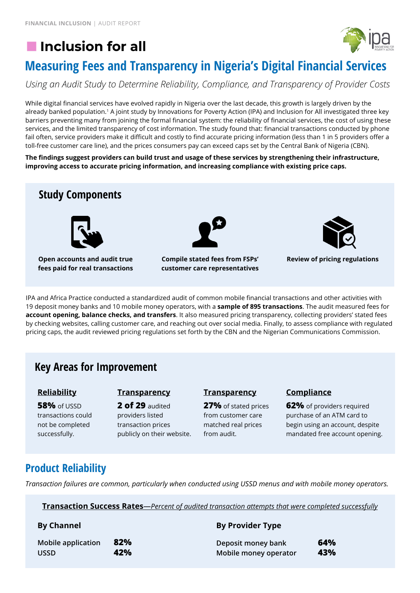# **Inclusion for all**



# **[Measuring Fees and Trans](https://inclusion-for-all.org/)parency in Nigeria's Digital Financial Services**

*Using an Audit Study to Determine Reliability, Compliance, and Transparency of Provider Costs*

While digital financial services have evolved rapidly in Nigeria over the last decade, this growth is largely driven by the already banked population.<sup>1</sup> A joint study by Innovations for Poverty Action (IPA) and Inclusion for All investigated three key barriers preventing many from joining the formal financial system: the reliability of financial services, the cost of using these services, and the limited transparency of cost information. The study found that: financial transactions conducted by phone fail often, service providers make it difficult and costly to find accurate pricing information (less than 1 in 5 providers offer a toll-free customer care line), and the prices consumers pay can exceed caps set by the Central Bank of Nigeria (CBN).

**The findings suggest providers can build trust and usage of these services by strengthening their infrastructure, improving access to accurate pricing information, and increasing compliance with existing price caps.**



**fees paid for real transactions**

**Compile stated fees from FSPs' customer care representatives**



```
Review of pricing regulations
```
IPA and Africa Practice conducted a standardized audit of common mobile financial transactions and other activities with 19 deposit money banks and 10 mobile money operators, with a **sample of 895 transactions**. The audit measured fees for **account opening, balance checks, and transfers**. It also measured pricing transparency, collecting providers' stated fees by checking websites, calling customer care, and reaching out over social media. Finally, to assess compliance with regulated pricing caps, the audit reviewed pricing regulations set forth by the CBN and the Nigerian Communications Commission.

# **Key Areas for Improvement**

## **Reliability**

**58%** of USSD transactions could not be completed successfully.

### **Transparency**

**2 of 29** audited providers listed transaction prices publicly on their website.

#### **Transparency**

**27%** of stated prices from customer care matched real prices from audit.

## **Compliance**

**62%** of providers required purchase of an ATM card to begin using an account, despite mandated free account opening.

# **Product Reliability**

*Transaction failures are common, particularly when conducted using USSD menus and with mobile money operators.*

**Transaction Success Rates***—Percent of audited transaction attempts that were completed successfully*

| <b>By Channel</b>  |     | <b>By Provider Type</b> |     |
|--------------------|-----|-------------------------|-----|
| Mobile application | 82% | Deposit money bank      | 64% |
| <b>USSD</b>        | 42% | Mobile money operator   | 43% |